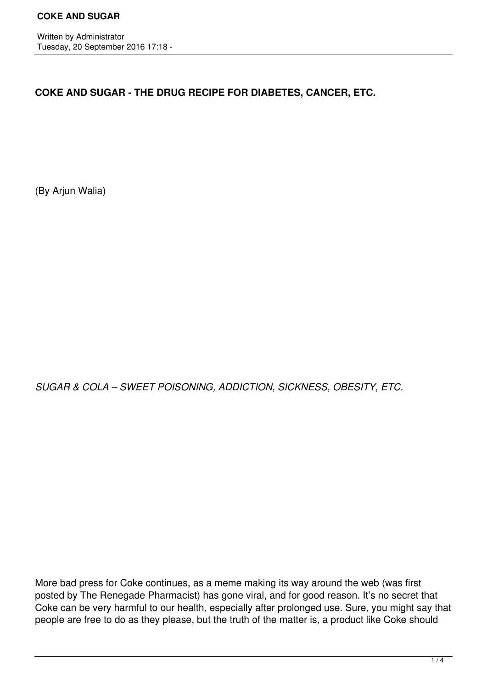Written by Administrator Tuesday, 20 September 2016 17:18 -

**COKE AND SUGAR - THE DRUG RECIPE FOR DIABETES, CANCER, ETC.**

(By Arjun Walia)

*SUGAR & COLA – SWEET POISONING, ADDICTION, SICKNESS, OBESITY, ETC.*

More bad press for Coke continues, as a meme making its way around the web (was first posted by The Renegade Pharmacist) has gone viral, and for good reason. It's no secret that Coke can be very harmful to our health, especially after prolonged use. Sure, you might say that people are free to do as they please, but the truth of the matter is, a product like Coke should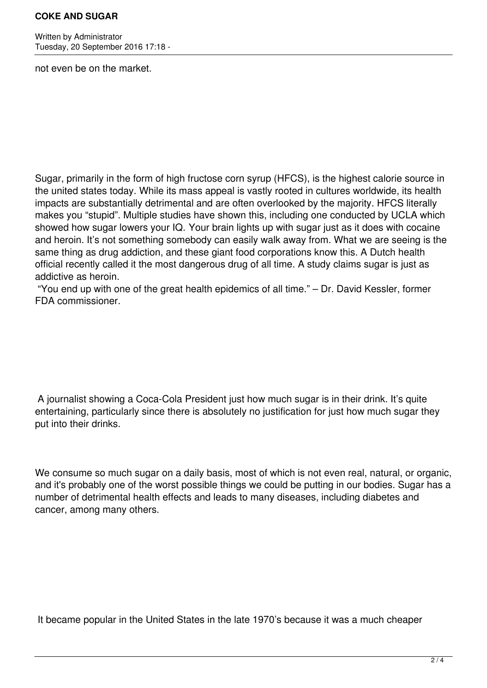## **COKE AND SUGAR**

Written by Administrator Tuesday, 20 September 2016 17:18 -

not even be on the market.

Sugar, primarily in the form of high fructose corn syrup (HFCS), is the highest calorie source in the united states today. While its mass appeal is vastly rooted in cultures worldwide, its health impacts are substantially detrimental and are often overlooked by the majority. HFCS literally makes you "stupid". Multiple studies have shown this, including one conducted by UCLA which showed how sugar lowers your IQ. Your brain lights up with sugar just as it does with cocaine and heroin. It's not something somebody can easily walk away from. What we are seeing is the same thing as drug addiction, and these giant food corporations know this. A Dutch health official recently called it the most dangerous drug of all time. A study claims sugar is just as addictive as heroin.

 "You end up with one of the great health epidemics of all time." – Dr. David Kessler, former FDA commissioner.

 A journalist showing a Coca-Cola President just how much sugar is in their drink. It's quite entertaining, particularly since there is absolutely no justification for just how much sugar they put into their drinks.

We consume so much sugar on a daily basis, most of which is not even real, natural, or organic, and it's probably one of the worst possible things we could be putting in our bodies. Sugar has a number of detrimental health effects and leads to many diseases, including diabetes and cancer, among many others.

It became popular in the United States in the late 1970's because it was a much cheaper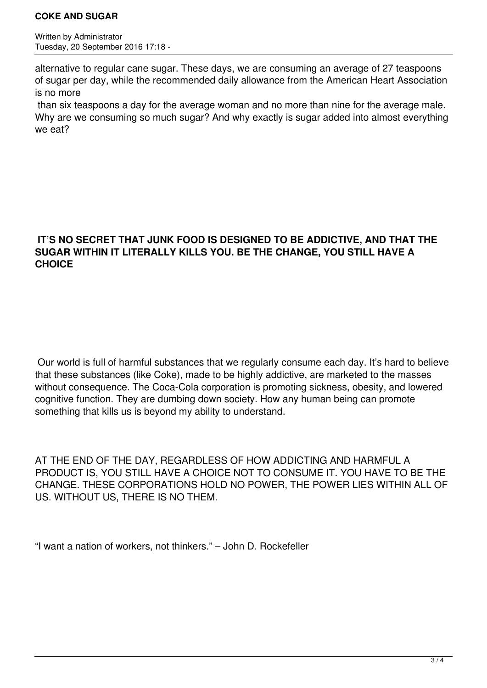## **COKE AND SUGAR**

Written by Administrator Tuesday, 20 September 2016 17:18 -

alternative to regular cane sugar. These days, we are consuming an average of 27 teaspoons of sugar per day, while the recommended daily allowance from the American Heart Association is no more

 than six teaspoons a day for the average woman and no more than nine for the average male. Why are we consuming so much sugar? And why exactly is sugar added into almost everything we eat?

## **IT'S NO SECRET THAT JUNK FOOD IS DESIGNED TO BE ADDICTIVE, AND THAT THE SUGAR WITHIN IT LITERALLY KILLS YOU. BE THE CHANGE, YOU STILL HAVE A CHOICE**

 Our world is full of harmful substances that we regularly consume each day. It's hard to believe that these substances (like Coke), made to be highly addictive, are marketed to the masses without consequence. The Coca-Cola corporation is promoting sickness, obesity, and lowered cognitive function. They are dumbing down society. How any human being can promote something that kills us is beyond my ability to understand.

AT THE END OF THE DAY, REGARDLESS OF HOW ADDICTING AND HARMFUL A PRODUCT IS, YOU STILL HAVE A CHOICE NOT TO CONSUME IT. YOU HAVE TO BE THE CHANGE. THESE CORPORATIONS HOLD NO POWER, THE POWER LIES WITHIN ALL OF US. WITHOUT US, THERE IS NO THEM.

"I want a nation of workers, not thinkers." – John D. Rockefeller